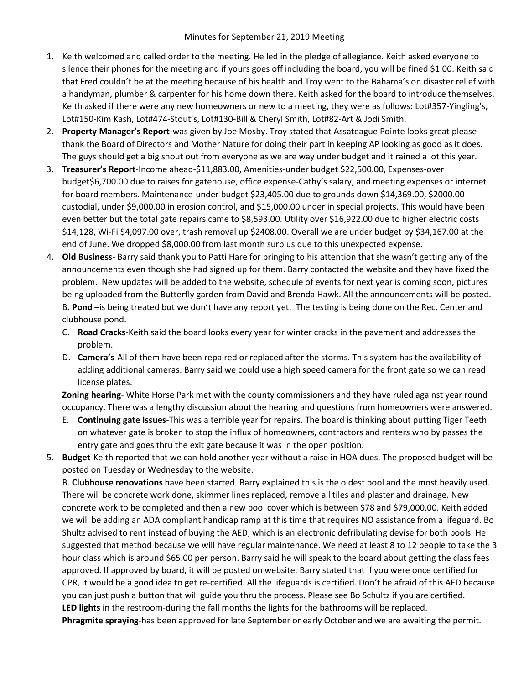- 1. Keith welcomed and called order to the meeting. He led in the pledge of allegiance. Keith asked everyone to silence their phones for the meeting and if yours goes off including the board, you will be fined \$1.00. Keith said that Fred couldn't be at the meeting because of his health and Troy went to the Bahama's on disaster relief with a handyman, plumber & carpenter for his home down there. Keith asked for the board to introduce themselves. Keith asked if there were any new homeowners or new to a meeting, they were as follows: Lot#357-Yingling's, Lot#150-Kim Kash, Lot#474-Stout's, Lot#130-Bill & Cheryl Smith, Lot#82-Art & Jodi Smith.
- 2. **Property Manager's Report-**was given by Joe Mosby. Troy stated that Assateague Pointe looks great please thank the Board of Directors and Mother Nature for doing their part in keeping AP looking as good as it does. The guys should get a big shout out from everyone as we are way under budget and it rained a lot this year.
- 3. **Treasurer's Report**-Income ahead-\$11,883.00, Amenities-under budget \$22,500.00, Expenses-over budget\$6,700.00 due to raises for gatehouse, office expense-Cathy's salary, and meeting expenses or internet for board members. Maintenance-under budget \$23,405.00 due to grounds down \$14,369.00, \$2000.00 custodial, under \$9,000.00 in erosion control, and \$15,000.00 under in special projects. This would have been even better but the total gate repairs came to \$8,593.00. Utility over \$16,922.00 due to higher electric costs \$14,128, Wi-Fi \$4,097.00 over, trash removal up \$2408.00. Overall we are under budget by \$34,167.00 at the end of June. We dropped \$8,000.00 from last month surplus due to this unexpected expense.
- 4. **Old Business** Barry said thank you to Patti Hare for bringing to his attention that she wasn't getting any of the announcements even though she had signed up for them. Barry contacted the website and they have fixed the problem. New updates will be added to the website, schedule of events for next year is coming soon, pictures being uploaded from the Butterfly garden from David and Brenda Hawk. All the announcements will be posted. B**. Pond** –is being treated but we don't have any report yet. The testing is being done on the Rec. Center and clubhouse pond.
	- C. **Road Cracks**-Keith said the board looks every year for winter cracks in the pavement and addresses the problem.
	- D. **Camera's**-All of them have been repaired or replaced after the storms. This system has the availability of adding additional cameras. Barry said we could use a high speed camera for the front gate so we can read license plates.

**Zoning hearing**- White Horse Park met with the county commissioners and they have ruled against year round occupancy. There was a lengthy discussion about the hearing and questions from homeowners were answered.

- E. **Continuing gate Issues**-This was a terrible year for repairs. The board is thinking about putting Tiger Teeth on whatever gate is broken to stop the influx of homeowners, contractors and renters who by passes the entry gate and goes thru the exit gate because it was in the open position.
- 5. **Budget**-Keith reported that we can hold another year without a raise in HOA dues. The proposed budget will be posted on Tuesday or Wednesday to the website.

B. **Clubhouse renovations** have been started. Barry explained this is the oldest pool and the most heavily used. There will be concrete work done, skimmer lines replaced, remove all tiles and plaster and drainage. New concrete work to be completed and then a new pool cover which is between \$78 and \$79,000.00. Keith added we will be adding an ADA compliant handicap ramp at this time that requires NO assistance from a lifeguard. Bo Shultz advised to rent instead of buying the AED, which is an electronic defribulating devise for both pools. He suggested that method because we will have regular maintenance. We need at least 8 to 12 people to take the 3 hour class which is around \$65.00 per person. Barry said he will speak to the board about getting the class fees approved. If approved by board, it will be posted on website. Barry stated that if you were once certified for CPR, it would be a good idea to get re-certified. All the lifeguards is certified. Don't be afraid of this AED because you can just push a button that will guide you thru the process. Please see Bo Schultz if you are certified. **LED lights** in the restroom-during the fall months the lights for the bathrooms will be replaced. **Phragmite spraying**-has been approved for late September or early October and we are awaiting the permit.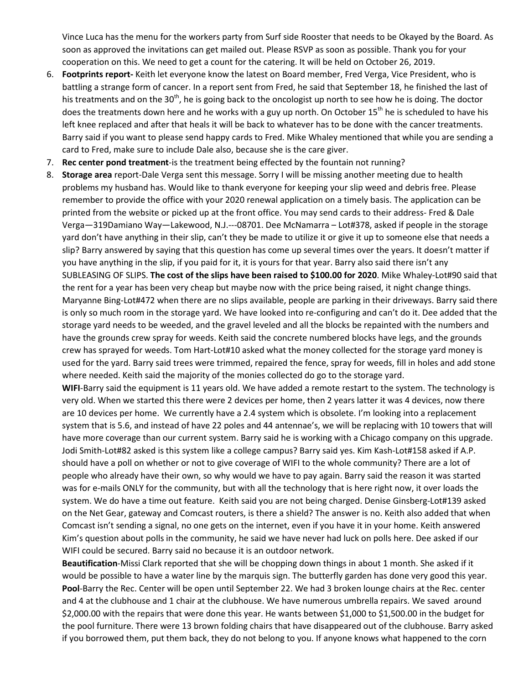Vince Luca has the menu for the workers party from Surf side Rooster that needs to be Okayed by the Board. As soon as approved the invitations can get mailed out. Please RSVP as soon as possible. Thank you for your cooperation on this. We need to get a count for the catering. It will be held on October 26, 2019.

- 6. **Footprints report-** Keith let everyone know the latest on Board member, Fred Verga, Vice President, who is battling a strange form of cancer. In a report sent from Fred, he said that September 18, he finished the last of his treatments and on the 30<sup>th</sup>, he is going back to the oncologist up north to see how he is doing. The doctor does the treatments down here and he works with a guy up north. On October 15<sup>th</sup> he is scheduled to have his left knee replaced and after that heals it will be back to whatever has to be done with the cancer treatments. Barry said if you want to please send happy cards to Fred. Mike Whaley mentioned that while you are sending a card to Fred, make sure to include Dale also, because she is the care giver.
- 7. **Rec center pond treatment**-is the treatment being effected by the fountain not running?
- 8. **Storage area** report-Dale Verga sent this message. Sorry I will be missing another meeting due to health problems my husband has. Would like to thank everyone for keeping your slip weed and debris free. Please remember to provide the office with your 2020 renewal application on a timely basis. The application can be printed from the website or picked up at the front office. You may send cards to their address- Fred & Dale Verga—319Damiano Way—Lakewood, N.J.---08701. Dee McNamarra – Lot#378, asked if people in the storage yard don't have anything in their slip, can't they be made to utilize it or give it up to someone else that needs a slip? Barry answered by saying that this question has come up several times over the years. It doesn't matter if you have anything in the slip, if you paid for it, it is yours for that year. Barry also said there isn't any SUBLEASING OF SLIPS. **The cost of the slips have been raised to \$100.00 for 2020**. Mike Whaley-Lot#90 said that the rent for a year has been very cheap but maybe now with the price being raised, it night change things. Maryanne Bing-Lot#472 when there are no slips available, people are parking in their driveways. Barry said there is only so much room in the storage yard. We have looked into re-configuring and can't do it. Dee added that the storage yard needs to be weeded, and the gravel leveled and all the blocks be repainted with the numbers and have the grounds crew spray for weeds. Keith said the concrete numbered blocks have legs, and the grounds crew has sprayed for weeds. Tom Hart-Lot#10 asked what the money collected for the storage yard money is used for the yard. Barry said trees were trimmed, repaired the fence, spray for weeds, fill in holes and add stone where needed. Keith said the majority of the monies collected do go to the storage yard.

**WIFI**-Barry said the equipment is 11 years old. We have added a remote restart to the system. The technology is very old. When we started this there were 2 devices per home, then 2 years latter it was 4 devices, now there are 10 devices per home. We currently have a 2.4 system which is obsolete. I'm looking into a replacement system that is 5.6, and instead of have 22 poles and 44 antennae's, we will be replacing with 10 towers that will have more coverage than our current system. Barry said he is working with a Chicago company on this upgrade. Jodi Smith-Lot#82 asked is this system like a college campus? Barry said yes. Kim Kash-Lot#158 asked if A.P. should have a poll on whether or not to give coverage of WIFI to the whole community? There are a lot of people who already have their own, so why would we have to pay again. Barry said the reason it was started was for e-mails ONLY for the community, but with all the technology that is here right now, it over loads the system. We do have a time out feature. Keith said you are not being charged. Denise Ginsberg-Lot#139 asked on the Net Gear, gateway and Comcast routers, is there a shield? The answer is no. Keith also added that when Comcast isn't sending a signal, no one gets on the internet, even if you have it in your home. Keith answered Kim's question about polls in the community, he said we have never had luck on polls here. Dee asked if our WIFI could be secured. Barry said no because it is an outdoor network.

**Beautification**-Missi Clark reported that she will be chopping down things in about 1 month. She asked if it would be possible to have a water line by the marquis sign. The butterfly garden has done very good this year. **Pool**-Barry the Rec. Center will be open until September 22. We had 3 broken lounge chairs at the Rec. center and 4 at the clubhouse and 1 chair at the clubhouse. We have numerous umbrella repairs. We saved around \$2,000.00 with the repairs that were done this year. He wants between \$1,000 to \$1,500.00 in the budget for the pool furniture. There were 13 brown folding chairs that have disappeared out of the clubhouse. Barry asked if you borrowed them, put them back, they do not belong to you. If anyone knows what happened to the corn